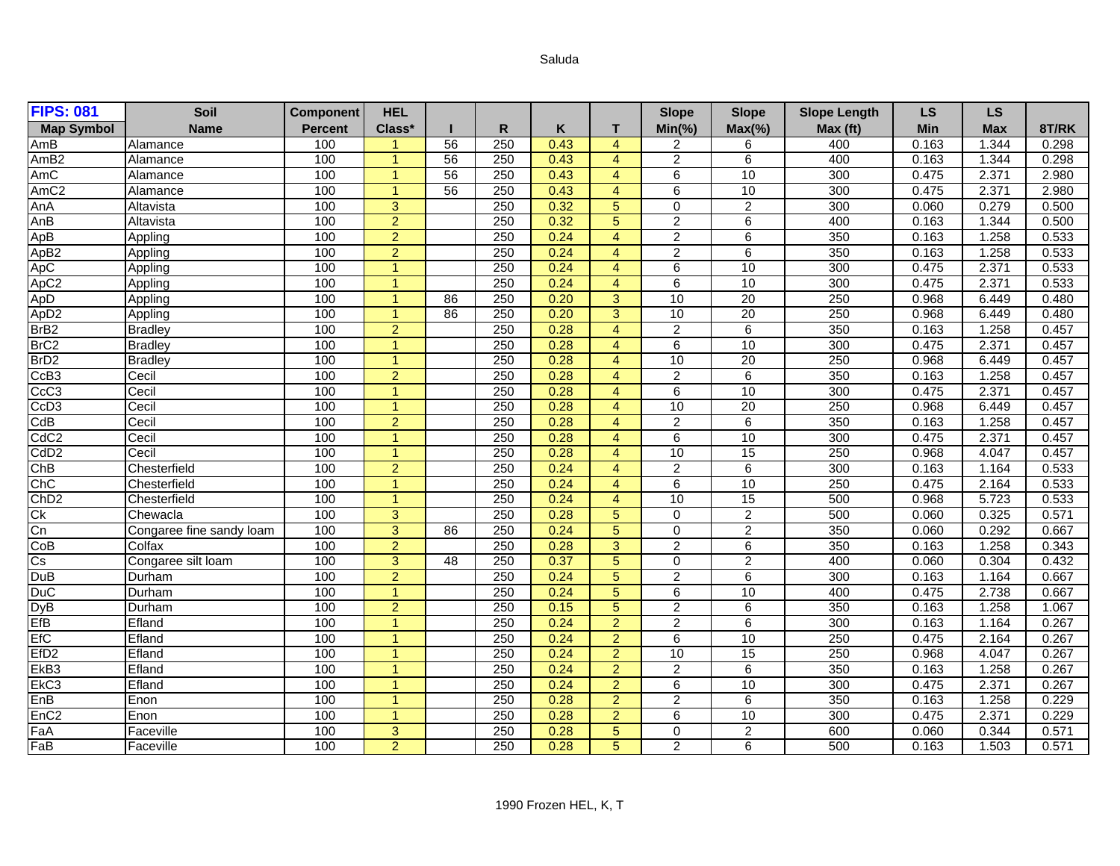## Saluda

| <b>FIPS: 081</b>                             | Soil                     | <b>Component</b> | <b>HEL</b>           |    |              |      |                  | <b>Slope</b>    | <b>Slope</b>    | <b>Slope Length</b> | <b>LS</b>  | <b>LS</b>  |       |
|----------------------------------------------|--------------------------|------------------|----------------------|----|--------------|------|------------------|-----------------|-----------------|---------------------|------------|------------|-------|
| <b>Map Symbol</b>                            | <b>Name</b>              | <b>Percent</b>   | Class*               |    | $\mathsf{R}$ | Κ    | т                | $Min(\% )$      | $Max(\% )$      | Max (ft)            | <b>Min</b> | <b>Max</b> | 8T/RK |
| AmB                                          | Alamance                 | 100              |                      | 56 | 250          | 0.43 | $\overline{4}$   | $\overline{2}$  | 6               | 400                 | 0.163      | 1.344      | 0.298 |
| AmB <sub>2</sub>                             | Alamance                 | 100              | $\overline{1}$       | 56 | 250          | 0.43 | $\overline{4}$   | $\overline{2}$  | 6               | 400                 | 0.163      | 1.344      | 0.298 |
| AmC                                          | Alamance                 | 100              | $\blacktriangleleft$ | 56 | 250          | 0.43 | $\overline{4}$   | 6               | 10              | 300                 | 0.475      | 2.371      | 2.980 |
| AmC <sub>2</sub>                             | Alamance                 | 100              | 1                    | 56 | 250          | 0.43 | $\overline{4}$   | 6               | 10              | 300                 | 0.475      | 2.371      | 2.980 |
| AnA                                          | Altavista                | 100              | 3                    |    | 250          | 0.32 | $5\overline{)}$  | $\mathbf 0$     | $\overline{2}$  | 300                 | 0.060      | 0.279      | 0.500 |
| AnB                                          | Altavista                | 100              | $\overline{2}$       |    | 250          | 0.32 | $5\overline{)}$  | $\overline{2}$  | 6               | 400                 | 0.163      | 1.344      | 0.500 |
| ApB                                          | Appling                  | 100              | $\overline{2}$       |    | 250          | 0.24 | $\overline{4}$   | $\overline{2}$  | 6               | 350                 | 0.163      | 1.258      | 0.533 |
| ApB <sub>2</sub>                             | Appling                  | 100              | $\overline{2}$       |    | 250          | 0.24 | $\overline{4}$   | $\overline{2}$  | 6               | 350                 | 0.163      | 1.258      | 0.533 |
| ApC                                          | Appling                  | 100              |                      |    | 250          | 0.24 | $\overline{4}$   | $\overline{6}$  | 10              | 300                 | 0.475      | 2.371      | 0.533 |
| ApC <sub>2</sub>                             | Appling                  | 100              |                      |    | 250          | 0.24 | $\overline{4}$   | 6               | 10              | 300                 | 0.475      | 2.371      | 0.533 |
| ApD                                          | Appling                  | 100              |                      | 86 | 250          | 0.20 | 3                | 10              | 20              | 250                 | 0.968      | 6.449      | 0.480 |
| ApD <sub>2</sub><br>BrB <sub>2</sub><br>BrC2 | Appling                  | 100              |                      | 86 | 250          | 0.20 | 3                | 10              | 20              | 250                 | 0.968      | 6.449      | 0.480 |
|                                              | <b>Bradley</b>           | 100              | $\overline{2}$       |    | 250          | 0.28 | $\overline{4}$   | $\overline{2}$  | $6\overline{6}$ | 350                 | 0.163      | 1.258      | 0.457 |
|                                              | <b>Bradley</b>           | 100              |                      |    | 250          | 0.28 | $\overline{4}$   | 6               | 10              | 300                 | 0.475      | 2.371      | 0.457 |
| BrD <sub>2</sub>                             | <b>Bradley</b>           | 100              | $\blacktriangleleft$ |    | 250          | 0.28 | $\overline{4}$   | 10              | 20              | 250                 | 0.968      | 6.449      | 0.457 |
| CcB <sub>3</sub>                             | Cecil                    | 100              | $\overline{2}$       |    | 250          | 0.28 | $\overline{4}$   | $\overline{2}$  | 6               | 350                 | 0.163      | 1.258      | 0.457 |
| CcC <sub>3</sub>                             | Cecil                    | 100              | $\blacktriangleleft$ |    | 250          | 0.28 | $\overline{4}$   | 6               | 10              | 300                 | 0.475      | 2.371      | 0.457 |
| CcD <sub>3</sub>                             | Cecil                    | 100              |                      |    | 250          | 0.28 | $\overline{4}$   | 10              | 20              | 250                 | 0.968      | 6.449      | 0.457 |
| CdB                                          | Cecil                    | 100              | 2                    |    | 250          | 0.28 | $\overline{4}$   | $\overline{2}$  | 6               | 350                 | 0.163      | 1.258      | 0.457 |
| CdC <sub>2</sub>                             | Cecil                    | 100              |                      |    | 250          | 0.28 | $\overline{4}$   | 6               | 10              | 300                 | 0.475      | 2.371      | 0.457 |
| CdD <sub>2</sub>                             | Cecil                    | 100              | 1                    |    | 250          | 0.28 | $\overline{4}$   | 10              | 15              | 250                 | 0.968      | 4.047      | 0.457 |
| ChB                                          | Chesterfield             | 100              | 2                    |    | 250          | 0.24 | $\boldsymbol{A}$ | $\overline{2}$  | 6               | 300                 | 0.163      | 1.164      | 0.533 |
| ChC                                          | Chesterfield             | 100              | $\blacktriangleleft$ |    | 250          | 0.24 | $\overline{4}$   | 6               | 10              | 250                 | 0.475      | 2.164      | 0.533 |
| Ch <sub>D2</sub>                             | Chesterfield             | 100              | -1                   |    | 250          | 0.24 | $\overline{4}$   | 10              | 15              | 500                 | 0.968      | 5.723      | 0.533 |
| $\overline{C}$                               | Chewacla                 | 100              | 3                    |    | 250          | 0.28 | 5                | $\mathbf 0$     | $\overline{2}$  | 500                 | 0.060      | 0.325      | 0.571 |
| Cn                                           | Congaree fine sandy loam | 100              | 3                    | 86 | 250          | 0.24 | 5                | $\mathbf 0$     | $\overline{2}$  | 350                 | 0.060      | 0.292      | 0.667 |
| CoB                                          | Colfax                   | 100              | $\overline{2}$       |    | 250          | 0.28 | 3                | $\overline{2}$  | 6               | 350                 | 0.163      | 1.258      | 0.343 |
| Cs                                           | Congaree silt loam       | 100              | 3                    | 48 | 250          | 0.37 | 5                | $\overline{0}$  | $\overline{2}$  | 400                 | 0.060      | 0.304      | 0.432 |
| DuB                                          | Durham                   | 100              | $\overline{2}$       |    | 250          | 0.24 | 5                | $\overline{2}$  | 6               | 300                 | 0.163      | 1.164      | 0.667 |
| <b>DuC</b>                                   | Durham                   | 100              |                      |    | 250          | 0.24 | $5\phantom{.0}$  | $6\overline{6}$ | 10              | 400                 | 0.475      | 2.738      | 0.667 |
| DyB<br>EfB                                   | Durham                   | 100              | $\overline{2}$       |    | 250          | 0.15 | $5\phantom{.0}$  | $\overline{2}$  | 6               | 350                 | 0.163      | 1.258      | 1.067 |
|                                              | Efland                   | 100              | -1                   |    | 250          | 0.24 | $\overline{2}$   | $\overline{2}$  | 6               | 300                 | 0.163      | 1.164      | 0.267 |
| <b>EfC</b>                                   | Efland                   | 100              |                      |    | 250          | 0.24 | $\overline{2}$   | 6               | 10              | 250                 | 0.475      | 2.164      | 0.267 |
| EfD <sub>2</sub>                             | Efland                   | 100              |                      |    | 250          | 0.24 | $\overline{2}$   | 10              | 15              | 250                 | 0.968      | 4.047      | 0.267 |
| EkB <sub>3</sub>                             | Efland                   | 100              |                      |    | 250          | 0.24 | $\overline{2}$   | $\overline{2}$  | 6               | 350                 | 0.163      | 1.258      | 0.267 |
| EkC <sub>3</sub>                             | Efland                   | 100              |                      |    | 250          | 0.24 | $\overline{2}$   | 6               | 10              | 300                 | 0.475      | 2.371      | 0.267 |
| EnB                                          | Enon                     | 100              |                      |    | 250          | 0.28 | $\overline{2}$   | $\overline{2}$  | 6               | 350                 | 0.163      | 1.258      | 0.229 |
| EnC <sub>2</sub>                             | Enon                     | 100              |                      |    | 250          | 0.28 | $\overline{2}$   | 6               | 10              | 300                 | 0.475      | 2.371      | 0.229 |
| FaA                                          | Faceville                | 100              | 3                    |    | 250          | 0.28 | $5\phantom{.0}$  | $\mathbf 0$     | $\overline{2}$  | 600                 | 0.060      | 0.344      | 0.571 |
| FaB                                          | Faceville                | 100              | $\overline{2}$       |    | 250          | 0.28 | $\overline{5}$   | $\overline{2}$  | $\overline{6}$  | 500                 | 0.163      | 1.503      | 0.571 |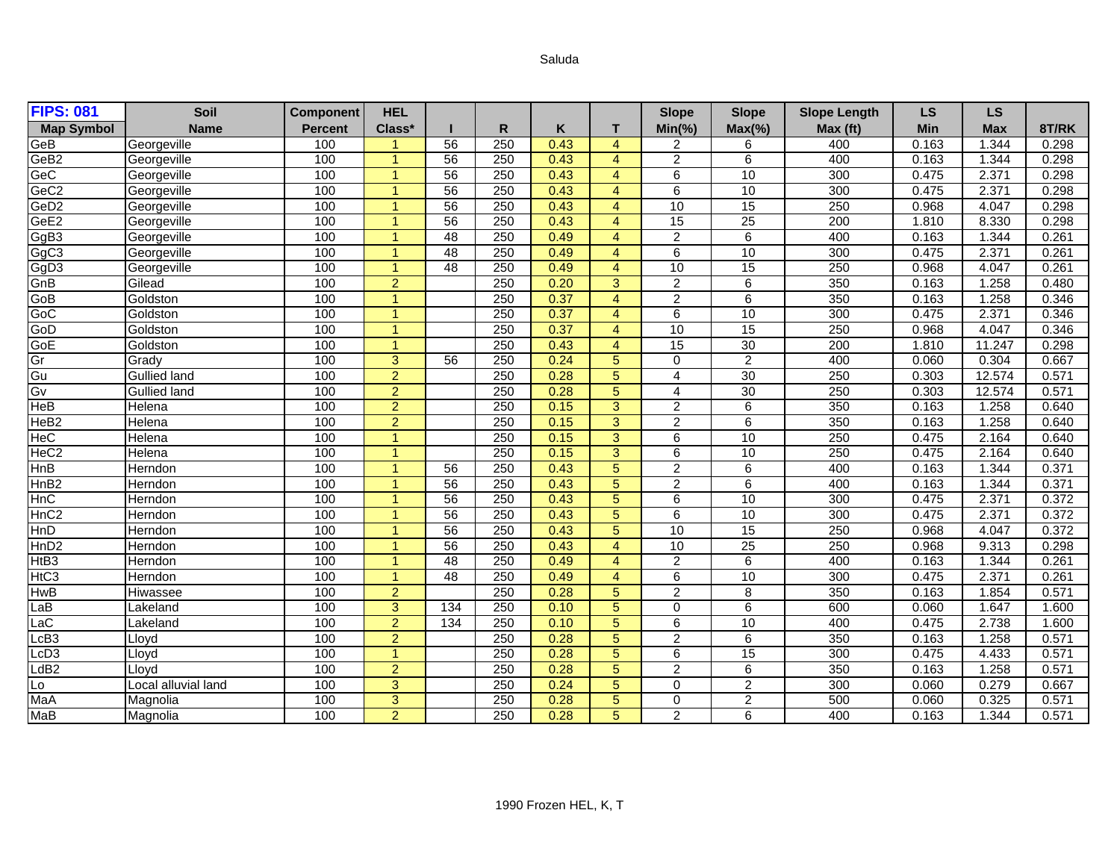## Saluda

| <b>FIPS: 081</b>  | Soil                | <b>Component</b> | <b>HEL</b>           |     |     |      |                 | <b>Slope</b>            | <b>Slope</b>    | <b>Slope Length</b> | <b>LS</b>  | LS         |       |
|-------------------|---------------------|------------------|----------------------|-----|-----|------|-----------------|-------------------------|-----------------|---------------------|------------|------------|-------|
| <b>Map Symbol</b> | <b>Name</b>         | <b>Percent</b>   | Class*               |     | R   | Κ    | т               | $Min(\% )$              | $Max(\% )$      | Max (ft)            | <b>Min</b> | <b>Max</b> | 8T/RK |
| GeB               | Georgeville         | 100              |                      | 56  | 250 | 0.43 | $\overline{4}$  | 2                       | 6               | 400                 | 0.163      | 1.344      | 0.298 |
| GeB <sub>2</sub>  | Georgeville         | 100              |                      | 56  | 250 | 0.43 | $\overline{4}$  | $\overline{2}$          | 6               | 400                 | 0.163      | 1.344      | 0.298 |
| GeC               | Georgeville         | 100              |                      | 56  | 250 | 0.43 | $\overline{4}$  | 6                       | 10              | 300                 | 0.475      | 2.371      | 0.298 |
| GeC <sub>2</sub>  | Georgeville         | 100              | $\overline{1}$       | 56  | 250 | 0.43 | $\overline{4}$  | 6                       | 10              | 300                 | 0.475      | 2.371      | 0.298 |
| GeD <sub>2</sub>  | Georgeville         | 100              | -1                   | 56  | 250 | 0.43 | $\overline{4}$  | 10                      | 15              | 250                 | 0.968      | 4.047      | 0.298 |
| GeE <sub>2</sub>  | Georgeville         | 100              |                      | 56  | 250 | 0.43 | $\overline{4}$  | 15                      | 25              | $\overline{200}$    | 1.810      | 8.330      | 0.298 |
| GgB3              | Georgeville         | 100              |                      | 48  | 250 | 0.49 | $\overline{4}$  | $\overline{2}$          | 6               | 400                 | 0.163      | 1.344      | 0.261 |
| GgC <sub>3</sub>  | Georgeville         | 100              |                      | 48  | 250 | 0.49 | $\overline{4}$  | 6                       | 10              | 300                 | 0.475      | 2.371      | 0.261 |
| GgD <sub>3</sub>  | Georgeville         | 100              |                      | 48  | 250 | 0.49 | $\overline{4}$  | 10                      | 15              | 250                 | 0.968      | 4.047      | 0.261 |
| GnB               | Gilead              | 100              | $\overline{2}$       |     | 250 | 0.20 | 3               | $\overline{2}$          | 6               | 350                 | 0.163      | 1.258      | 0.480 |
| GoB               | Goldston            | 100              | $\blacktriangleleft$ |     | 250 | 0.37 | $\overline{4}$  | $\overline{2}$          | 6               | 350                 | 0.163      | 1.258      | 0.346 |
| GoC               | Goldston            | 100              | $\overline{1}$       |     | 250 | 0.37 | $\overline{4}$  | 6                       | 10              | 300                 | 0.475      | 2.371      | 0.346 |
| GoD               | Goldston            | 100              |                      |     | 250 | 0.37 | $\overline{4}$  | 10                      | 15              | 250                 | 0.968      | 4.047      | 0.346 |
| GoE               | Goldston            | 100              | $\blacktriangleleft$ |     | 250 | 0.43 | $\overline{4}$  | 15                      | $\overline{30}$ | $\overline{200}$    | 1.810      | 11.247     | 0.298 |
| G<br>Gl           | Grady               | 100              | 3                    | 56  | 250 | 0.24 | 5               | $\mathbf 0$             | $\overline{2}$  | 400                 | 0.060      | 0.304      | 0.667 |
|                   | <b>Gullied land</b> | 100              | $\overline{2}$       |     | 250 | 0.28 | $5\phantom{.0}$ | $\overline{4}$          | 30              | 250                 | 0.303      | 12.574     | 0.571 |
| Gv                | <b>Gullied land</b> | 100              | $\overline{2}$       |     | 250 | 0.28 | $5\phantom{.0}$ | $\overline{\mathbf{A}}$ | 30              | 250                 | 0.303      | 12.574     | 0.571 |
| <b>HeB</b>        | Helena              | 100              | $\overline{2}$       |     | 250 | 0.15 | 3               | $\overline{2}$          | 6               | 350                 | 0.163      | 1.258      | 0.640 |
| HeB <sub>2</sub>  | Helena              | 100              | $\overline{2}$       |     | 250 | 0.15 | 3               | $\overline{2}$          | 6               | 350                 | 0.163      | 1.258      | 0.640 |
| HeC               | Helena              | 100              | -1                   |     | 250 | 0.15 | 3               | 6                       | 10              | 250                 | 0.475      | 2.164      | 0.640 |
| HeC <sub>2</sub>  | Helena              | 100              |                      |     | 250 | 0.15 | 3               | 6                       | 10              | 250                 | 0.475      | 2.164      | 0.640 |
| HnB               | Herndon             | 100              |                      | 56  | 250 | 0.43 | 5               | $\overline{2}$          | 6               | 400                 | 0.163      | 1.344      | 0.371 |
| HnB <sub>2</sub>  | Herndon             | 100              | -1                   | 56  | 250 | 0.43 | 5               | $\overline{2}$          | 6               | 400                 | 0.163      | 1.344      | 0.371 |
| <b>HnC</b>        | Herndon             | 100              | $\overline{1}$       | 56  | 250 | 0.43 | 5               | $\overline{6}$          | 10              | 300                 | 0.475      | 2.371      | 0.372 |
| HnC <sub>2</sub>  | Herndon             | 100              | -1                   | 56  | 250 | 0.43 | 5               | 6                       | 10              | 300                 | 0.475      | 2.371      | 0.372 |
| HnD               | Herndon             | 100              |                      | 56  | 250 | 0.43 | $5\phantom{.}$  | 10                      | 15              | 250                 | 0.968      | 4.047      | 0.372 |
| HnD <sub>2</sub>  | Herndon             | 100              |                      | 56  | 250 | 0.43 | $\overline{4}$  | 10                      | 25              | 250                 | 0.968      | 9.313      | 0.298 |
| HtB <sub>3</sub>  | Herndon             | 100              |                      | 48  | 250 | 0.49 | $\overline{4}$  | $\overline{2}$          | 6               | 400                 | 0.163      | 1.344      | 0.261 |
| H <sub>IC3</sub>  | Herndon             | 100              | $\blacktriangleleft$ | 48  | 250 | 0.49 | $\overline{4}$  | $\overline{6}$          | 10              | 300                 | 0.475      | 2.371      | 0.261 |
| <b>HwB</b>        | <b>Hiwassee</b>     | 100              | $\overline{2}$       |     | 250 | 0.28 | 5               | $\overline{2}$          | 8               | 350                 | 0.163      | 1.854      | 0.571 |
| LaB               | Lakeland            | 100              | 3                    | 134 | 250 | 0.10 | $5\phantom{.}$  | $\Omega$                | 6               | 600                 | 0.060      | 1.647      | 1.600 |
| LaC               | Lakeland            | 100              | $\overline{2}$       | 134 | 250 | 0.10 | 5               | 6                       | 10              | 400                 | 0.475      | 2.738      | 1.600 |
| LcB <sub>3</sub>  | Lloyd               | 100              | $\overline{2}$       |     | 250 | 0.28 | $5\phantom{.}$  | $\overline{2}$          | 6               | 350                 | 0.163      | 1.258      | 0.571 |
| LcD <sub>3</sub>  | Lloyd               | 100              | $\blacktriangleleft$ |     | 250 | 0.28 | 5               | 6                       | 15              | 300                 | 0.475      | 4.433      | 0.571 |
| LdB2              | Lloyd               | 100              | $\overline{2}$       |     | 250 | 0.28 | $5\phantom{.}$  | $\overline{2}$          | $\overline{6}$  | 350                 | 0.163      | 1.258      | 0.571 |
| Lo                | Local alluvial land | 100              | $\overline{3}$       |     | 250 | 0.24 | $5\phantom{.}$  | $\mathbf 0$             | $\overline{2}$  | 300                 | 0.060      | 0.279      | 0.667 |
| MaA               | Magnolia            | 100              | 3                    |     | 250 | 0.28 | 5               | $\Omega$                | $\overline{2}$  | 500                 | 0.060      | 0.325      | 0.571 |
| MaB               | Magnolia            | 100              | $\overline{2}$       |     | 250 | 0.28 | 5               | $\overline{2}$          | 6               | 400                 | 0.163      | 1.344      | 0.571 |